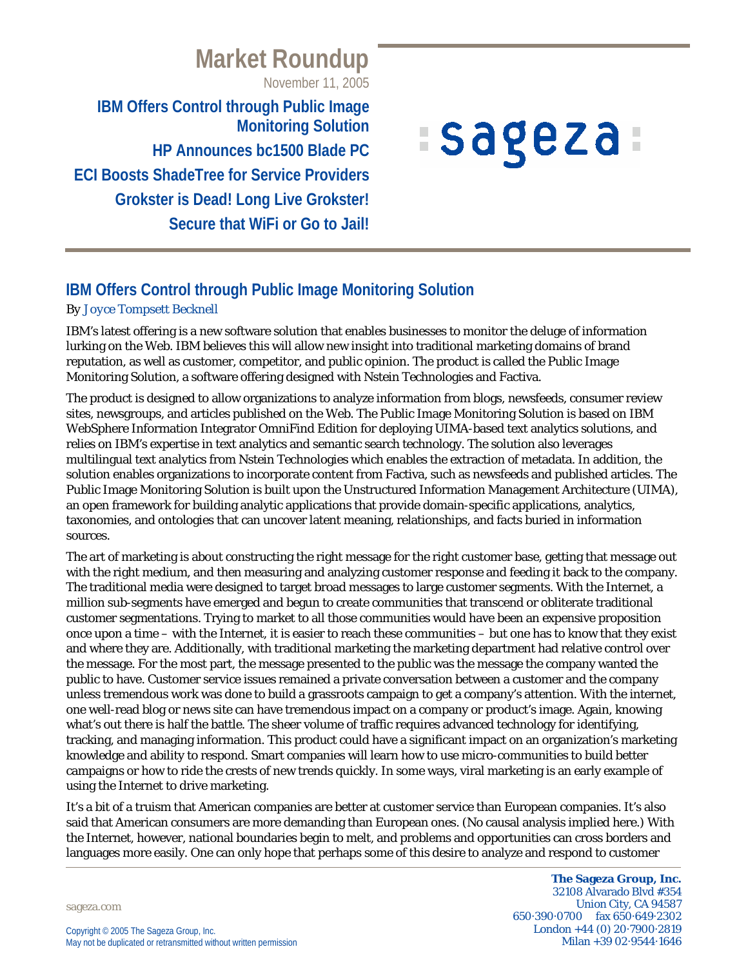# **Market Roundup**

November 11, 2005

**IBM Offers Control through Public Image Monitoring Solution HP Announces bc1500 Blade PC ECI Boosts ShadeTree for Service Providers Grokster is Dead! Long Live Grokster! Secure that WiFi or Go to Jail!**

# **Sageza**

# **IBM Offers Control through Public Image Monitoring Solution**

#### *By Joyce Tompsett Becknell*

IBM's latest offering is a new software solution that enables businesses to monitor the deluge of information lurking on the Web. IBM believes this will allow new insight into traditional marketing domains of brand reputation, as well as customer, competitor, and public opinion. The product is called the Public Image Monitoring Solution, a software offering designed with Nstein Technologies and Factiva.

The product is designed to allow organizations to analyze information from blogs, newsfeeds, consumer review sites, newsgroups, and articles published on the Web. The Public Image Monitoring Solution is based on IBM WebSphere Information Integrator OmniFind Edition for deploying UIMA-based text analytics solutions, and relies on IBM's expertise in text analytics and semantic search technology. The solution also leverages multilingual text analytics from Nstein Technologies which enables the extraction of metadata. In addition, the solution enables organizations to incorporate content from Factiva, such as newsfeeds and published articles. The Public Image Monitoring Solution is built upon the Unstructured Information Management Architecture (UIMA), an open framework for building analytic applications that provide domain-specific applications, analytics, taxonomies, and ontologies that can uncover latent meaning, relationships, and facts buried in information sources.

The art of marketing is about constructing the right message for the right customer base, getting that message out with the right medium, and then measuring and analyzing customer response and feeding it back to the company. The traditional media were designed to target broad messages to large customer segments. With the Internet, a million sub-segments have emerged and begun to create communities that transcend or obliterate traditional customer segmentations. Trying to market to all those communities would have been an expensive proposition once upon a time – with the Internet, it is easier to reach these communities – but one has to know that they exist and where they are. Additionally, with traditional marketing the marketing department had relative control over the message. For the most part, the message presented to the public was the message the company wanted the public to have. Customer service issues remained a private conversation between a customer and the company unless tremendous work was done to build a grassroots campaign to get a company's attention. With the internet, one well-read blog or news site can have tremendous impact on a company or product's image. Again, knowing what's out there is half the battle. The sheer volume of traffic requires advanced technology for identifying, tracking, and managing information. This product could have a significant impact on an organization's marketing knowledge and ability to respond. Smart companies will learn how to use micro-communities to build better campaigns or how to ride the crests of new trends quickly. In some ways, viral marketing is an early example of using the Internet to drive marketing.

It's a bit of a truism that American companies are better at customer service than European companies. It's also said that American consumers are more demanding than European ones. (No causal analysis implied here.) With the Internet, however, national boundaries begin to melt, and problems and opportunities can cross borders and languages more easily. One can only hope that perhaps some of this desire to analyze and respond to customer

sageza.com

**The Sageza Group, Inc.** 32108 Alvarado Blvd #354 Union City, CA 94587 650·390·0700 fax 650·649·2302 London +44 (0) 20·7900·2819 Milan +39 02·9544·1646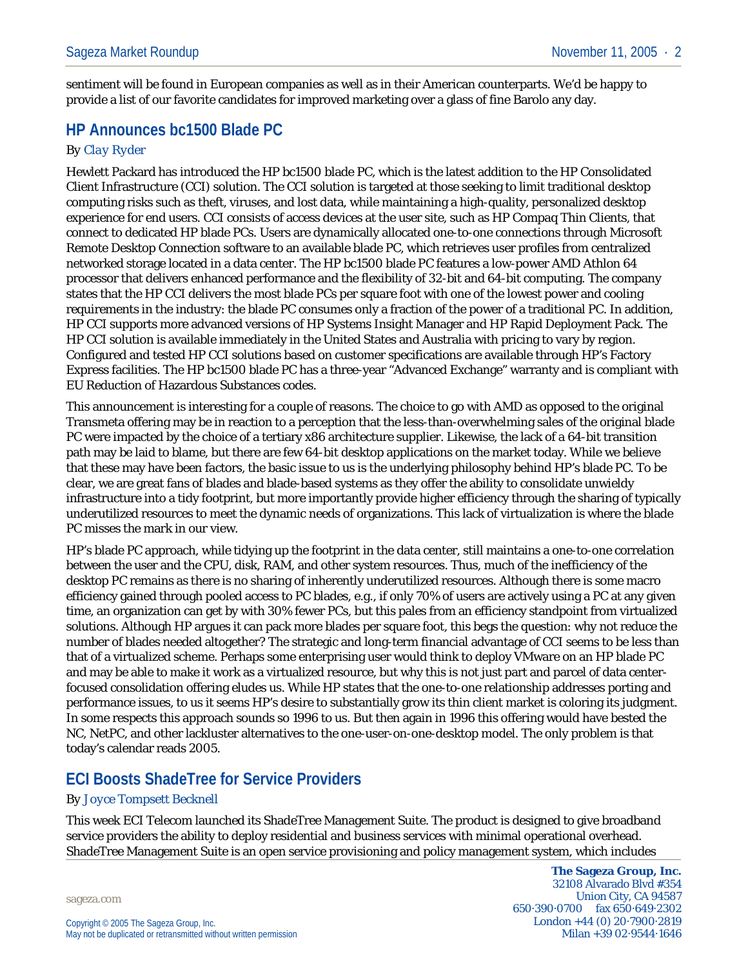sentiment will be found in European companies as well as in their American counterparts. We'd be happy to provide a list of our favorite candidates for improved marketing over a glass of fine Barolo any day.

# **HP Announces bc1500 Blade PC**

#### *By Clay Ryder*

Hewlett Packard has introduced the HP bc1500 blade PC, which is the latest addition to the HP Consolidated Client Infrastructure (CCI) solution. The CCI solution is targeted at those seeking to limit traditional desktop computing risks such as theft, viruses, and lost data, while maintaining a high-quality, personalized desktop experience for end users. CCI consists of access devices at the user site, such as HP Compaq Thin Clients, that connect to dedicated HP blade PCs. Users are dynamically allocated one-to-one connections through Microsoft Remote Desktop Connection software to an available blade PC, which retrieves user profiles from centralized networked storage located in a data center. The HP bc1500 blade PC features a low-power AMD Athlon 64 processor that delivers enhanced performance and the flexibility of 32-bit and 64-bit computing. The company states that the HP CCI delivers the most blade PCs per square foot with one of the lowest power and cooling requirements in the industry: the blade PC consumes only a fraction of the power of a traditional PC. In addition, HP CCI supports more advanced versions of HP Systems Insight Manager and HP Rapid Deployment Pack. The HP CCI solution is available immediately in the United States and Australia with pricing to vary by region. Configured and tested HP CCI solutions based on customer specifications are available through HP's Factory Express facilities. The HP bc1500 blade PC has a three-year "Advanced Exchange" warranty and is compliant with EU Reduction of Hazardous Substances codes.

This announcement is interesting for a couple of reasons. The choice to go with AMD as opposed to the original Transmeta offering may be in reaction to a perception that the less-than-overwhelming sales of the original blade PC were impacted by the choice of a tertiary x86 architecture supplier. Likewise, the lack of a 64-bit transition path may be laid to blame, but there are few 64-bit desktop applications on the market today. While we believe that these may have been factors, the basic issue to us is the underlying philosophy behind HP's blade PC. To be clear, we are great fans of blades and blade-based systems as they offer the ability to consolidate unwieldy infrastructure into a tidy footprint, but more importantly provide higher efficiency through the sharing of typically underutilized resources to meet the dynamic needs of organizations. This lack of virtualization is where the blade PC misses the mark in our view.

HP's blade PC approach, while tidying up the footprint in the data center, still maintains a one-to-one correlation between the user and the CPU, disk, RAM, and other system resources. Thus, much of the inefficiency of the desktop PC remains as there is no sharing of inherently underutilized resources. Although there is some macro efficiency gained through pooled access to PC blades, e.g., if only 70% of users are actively using a PC at any given time, an organization can get by with 30% fewer PCs, but this pales from an efficiency standpoint from virtualized solutions. Although HP argues it can pack more blades per square foot, this begs the question: why not reduce the number of blades needed altogether? The strategic and long-term financial advantage of CCI seems to be less than that of a virtualized scheme. Perhaps some enterprising user would think to deploy VMware on an HP blade PC and may be able to make it work as a virtualized resource, but why this is not just part and parcel of data centerfocused consolidation offering eludes us. While HP states that the one-to-one relationship addresses porting and performance issues, to us it seems HP's desire to substantially grow its thin client market is coloring its judgment. In some respects this approach sounds so 1996 to us. But then again in 1996 this offering would have bested the NC, NetPC, and other lackluster alternatives to the one-user-on-one-desktop model. The only problem is that today's calendar reads 2005.

# **ECI Boosts ShadeTree for Service Providers**

#### *By Joyce Tompsett Becknell*

This week ECI Telecom launched its ShadeTree Management Suite. The product is designed to give broadband service providers the ability to deploy residential and business services with minimal operational overhead. ShadeTree Management Suite is an open service provisioning and policy management system, which includes

sageza.com

**The Sageza Group, Inc.** 32108 Alvarado Blvd #354 Union City, CA 94587 650·390·0700 fax 650·649·2302 London +44 (0) 20·7900·2819 Milan +39 02·9544·1646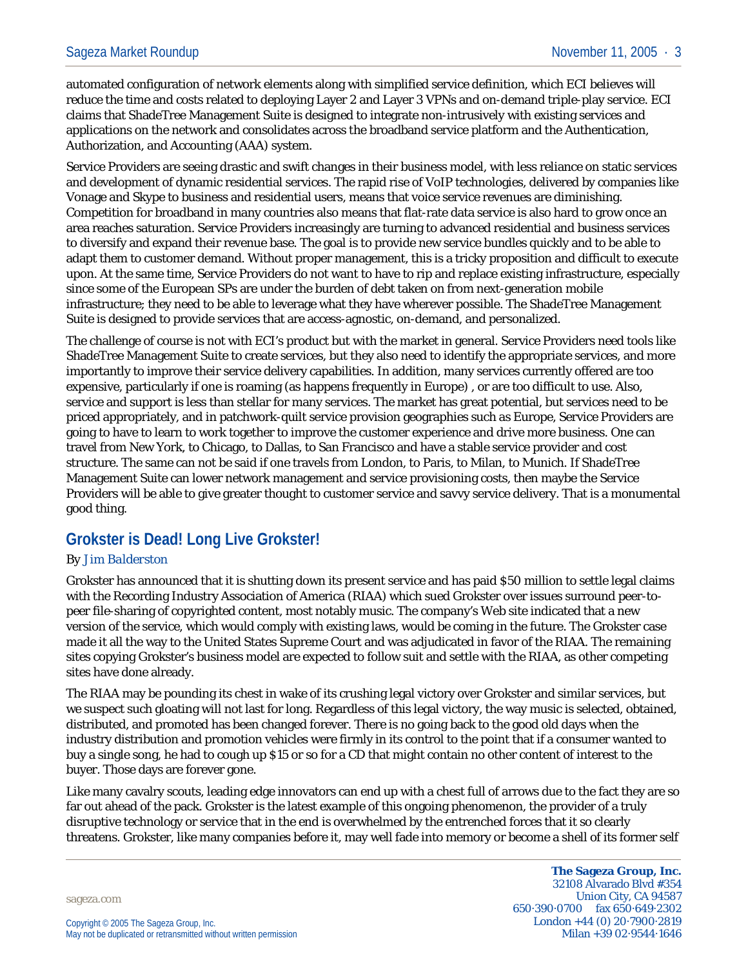automated configuration of network elements along with simplified service definition, which ECI believes will reduce the time and costs related to deploying Layer 2 and Layer 3 VPNs and on-demand triple-play service. ECI claims that ShadeTree Management Suite is designed to integrate non-intrusively with existing services and applications on the network and consolidates across the broadband service platform and the Authentication, Authorization, and Accounting (AAA) system.

Service Providers are seeing drastic and swift changes in their business model, with less reliance on static services and development of dynamic residential services. The rapid rise of VoIP technologies, delivered by companies like Vonage and Skype to business and residential users, means that voice service revenues are diminishing. Competition for broadband in many countries also means that flat-rate data service is also hard to grow once an area reaches saturation. Service Providers increasingly are turning to advanced residential and business services to diversify and expand their revenue base. The goal is to provide new service bundles quickly and to be able to adapt them to customer demand. Without proper management, this is a tricky proposition and difficult to execute upon. At the same time, Service Providers do not want to have to rip and replace existing infrastructure, especially since some of the European SPs are under the burden of debt taken on from next-generation mobile infrastructure; they need to be able to leverage what they have wherever possible. The ShadeTree Management Suite is designed to provide services that are access-agnostic, on-demand, and personalized.

The challenge of course is not with ECI's product but with the market in general. Service Providers need tools like ShadeTree Management Suite to create services, but they also need to identify the appropriate services, and more importantly to improve their service delivery capabilities. In addition, many services currently offered are too expensive, particularly if one is roaming (as happens frequently in Europe) , or are too difficult to use. Also, service and support is less than stellar for many services. The market has great potential, but services need to be priced appropriately, and in patchwork-quilt service provision geographies such as Europe, Service Providers are going to have to learn to work together to improve the customer experience and drive more business. One can travel from New York, to Chicago, to Dallas, to San Francisco and have a stable service provider and cost structure. The same can not be said if one travels from London, to Paris, to Milan, to Munich. If ShadeTree Management Suite can lower network management and service provisioning costs, then maybe the Service Providers will be able to give greater thought to customer service and savvy service delivery. That is a monumental good thing.

## **Grokster is Dead! Long Live Grokster!**

#### *By Jim Balderston*

Grokster has announced that it is shutting down its present service and has paid \$50 million to settle legal claims with the Recording Industry Association of America (RIAA) which sued Grokster over issues surround peer-topeer file-sharing of copyrighted content, most notably music. The company's Web site indicated that a new version of the service, which would comply with existing laws, would be coming in the future. The Grokster case made it all the way to the United States Supreme Court and was adjudicated in favor of the RIAA. The remaining sites copying Grokster's business model are expected to follow suit and settle with the RIAA, as other competing sites have done already.

The RIAA may be pounding its chest in wake of its crushing legal victory over Grokster and similar services, but we suspect such gloating will not last for long. Regardless of this legal victory, the way music is selected, obtained, distributed, and promoted has been changed forever. There is no going back to the good old days when the industry distribution and promotion vehicles were firmly in its control to the point that if a consumer wanted to buy a single song, he had to cough up \$15 or so for a CD that might contain no other content of interest to the buyer. Those days are forever gone.

Like many cavalry scouts, leading edge innovators can end up with a chest full of arrows due to the fact they are so far out ahead of the pack. Grokster is the latest example of this ongoing phenomenon, the provider of a truly disruptive technology or service that in the end is overwhelmed by the entrenched forces that it so clearly threatens. Grokster, like many companies before it, may well fade into memory or become a shell of its former self

sageza.com